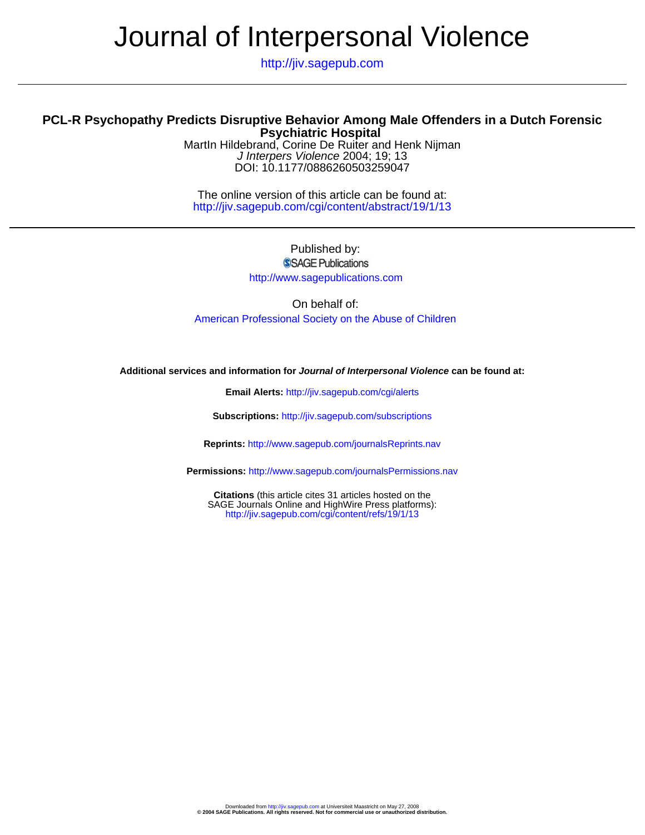# Journal of Interpersonal Violence

http://jiv.sagepub.com

# **Psychiatric Hospital PCL-R Psychopathy Predicts Disruptive Behavior Among Male Offenders in a Dutch Forensic**

DOI: 10.1177/0886260503259047 J Interpers Violence 2004; 19; 13 MartIn Hildebrand, Corine De Ruiter and Henk Nijman

http://jiv.sagepub.com/cgi/content/abstract/19/1/13 The online version of this article can be found at:

> Published by: SSAGE Publications http://www.sagepublications.com

On behalf of: [American Professional Society on the Abuse of Children](http://www.apsac.org)

# **Additional services and information for Journal of Interpersonal Violence can be found at:**

**Email Alerts:** <http://jiv.sagepub.com/cgi/alerts>

**Subscriptions:** <http://jiv.sagepub.com/subscriptions>

**Reprints:** <http://www.sagepub.com/journalsReprints.nav>

**Permissions:** <http://www.sagepub.com/journalsPermissions.nav>

<http://jiv.sagepub.com/cgi/content/refs/19/1/13> SAGE Journals Online and HighWire Press platforms): **Citations** (this article cites 31 articles hosted on the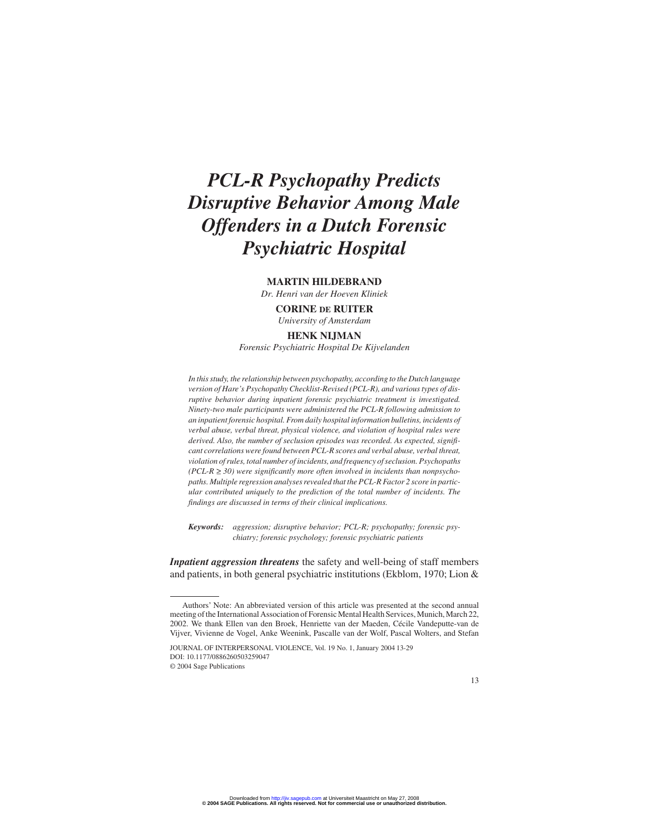# *PCL-R Psychopathy Predicts Disruptive Behavior Among Male Offenders in a Dutch Forensic Psychiatric Hospital*

# **MARTIN HILDEBRAND**

*Dr. Henri van der Hoeven Kliniek* **CORINE DE RUITER**

*University of Amsterdam*

# **HENK NIJMAN**

*Forensic Psychiatric Hospital De Kijvelanden*

*In this study, the relationship between psychopathy, according to the Dutch language version of Hare's Psychopathy Checklist-Revised (PCL-R), and various types of disruptive behavior during inpatient forensic psychiatric treatment is investigated. Ninety-two male participants were administered the PCL-R following admission to an inpatient forensic hospital. From daily hospital information bulletins, incidents of verbal abuse, verbal threat, physical violence, and violation of hospital rules were derived. Also, the number of seclusion episodes was recorded. As expected, significant correlations were found between PCL-R scores and verbal abuse, verbal threat, violation of rules, total number of incidents, and frequency of seclusion. Psychopaths*  $(PCL-R \ge 30)$  were significantly more often involved in incidents than nonpsycho*paths. Multiple regression analyses revealed that the PCL-R Factor 2 score in particular contributed uniquely to the prediction of the total number of incidents. The findings are discussed in terms of their clinical implications.*

*Keywords: aggression; disruptive behavior; PCL-R; psychopathy; forensic psychiatry; forensic psychology; forensic psychiatric patients*

*Inpatient aggression threatens* the safety and well-being of staff members and patients, in both general psychiatric institutions (Ekblom, 1970; Lion &

JOURNAL OF INTERPERSONAL VIOLENCE, Vol. 19 No. 1, January 2004 13-29 DOI: 10.1177/0886260503259047 © 2004 Sage Publications

Authors' Note: An abbreviated version of this article was presented at the second annual meeting of the International Association of Forensic Mental Health Services, Munich, March 22, 2002. We thank Ellen van den Broek, Henriette van der Maeden, Cécile Vandeputte-van de Vijver, Vivienne de Vogel, Anke Weenink, Pascalle van der Wolf, Pascal Wolters, and Stefan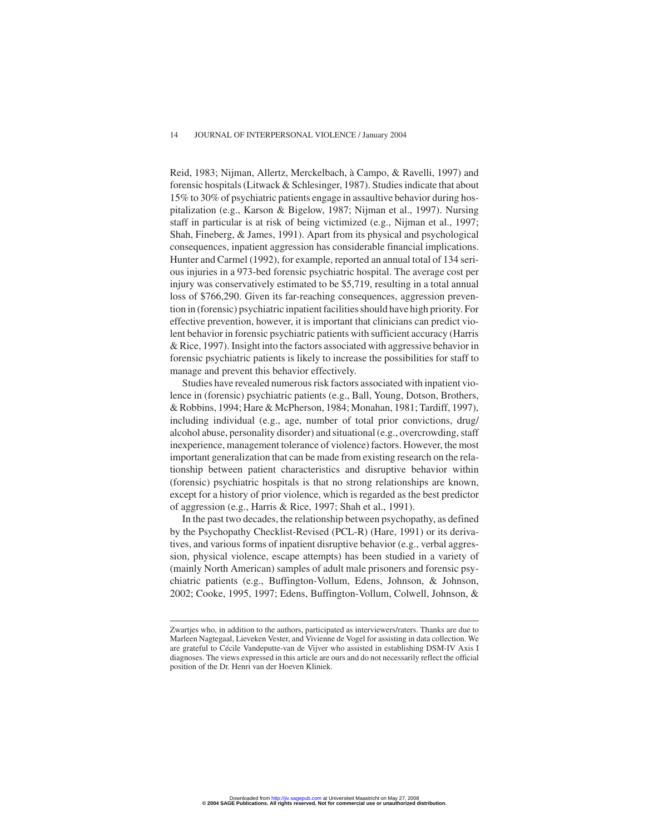Reid, 1983; Nijman, Allertz, Merckelbach, à Campo, & Ravelli, 1997) and forensic hospitals (Litwack & Schlesinger, 1987). Studies indicate that about 15% to 30% of psychiatric patients engage in assaultive behavior during hospitalization (e.g., Karson & Bigelow, 1987; Nijman et al., 1997). Nursing staff in particular is at risk of being victimized (e.g., Nijman et al., 1997; Shah, Fineberg, & James, 1991). Apart from its physical and psychological consequences, inpatient aggression has considerable financial implications. Hunter and Carmel (1992), for example, reported an annual total of 134 serious injuries in a 973-bed forensic psychiatric hospital. The average cost per injury was conservatively estimated to be \$5,719, resulting in a total annual loss of \$766,290. Given its far-reaching consequences, aggression prevention in (forensic) psychiatric inpatient facilities should have high priority. For effective prevention, however, it is important that clinicians can predict violent behavior in forensic psychiatric patients with sufficient accuracy (Harris & Rice, 1997). Insight into the factors associated with aggressive behavior in forensic psychiatric patients is likely to increase the possibilities for staff to manage and prevent this behavior effectively.

Studies have revealed numerous risk factors associated with inpatient violence in (forensic) psychiatric patients (e.g., Ball, Young, Dotson, Brothers, & Robbins, 1994; Hare & McPherson, 1984; Monahan, 1981; Tardiff, 1997), including individual (e.g., age, number of total prior convictions, drug/ alcohol abuse, personality disorder) and situational (e.g., overcrowding, staff inexperience, management tolerance of violence) factors. However, the most important generalization that can be made from existing research on the relationship between patient characteristics and disruptive behavior within (forensic) psychiatric hospitals is that no strong relationships are known, except for a history of prior violence, which is regarded as the best predictor of aggression (e.g., Harris & Rice, 1997; Shah et al., 1991).

In the past two decades, the relationship between psychopathy, as defined by the Psychopathy Checklist-Revised (PCL-R) (Hare, 1991) or its derivatives, and various forms of inpatient disruptive behavior (e.g., verbal aggression, physical violence, escape attempts) has been studied in a variety of (mainly North American) samples of adult male prisoners and forensic psychiatric patients (e.g., Buffington-Vollum, Edens, Johnson, & Johnson, 2002; Cooke, 1995, 1997; Edens, Buffington-Vollum, Colwell, Johnson, &

Zwartjes who, in addition to the authors, participated as interviewers/raters. Thanks are due to Marleen Nagtegaal, Lieveken Vester, and Vivienne de Vogel for assisting in data collection. We are grateful to Cécile Vandeputte-van de Vijver who assisted in establishing DSM-IV Axis I diagnoses. The views expressed in this article are ours and do not necessarily reflect the official position of the Dr. Henri van der Hoeven Kliniek.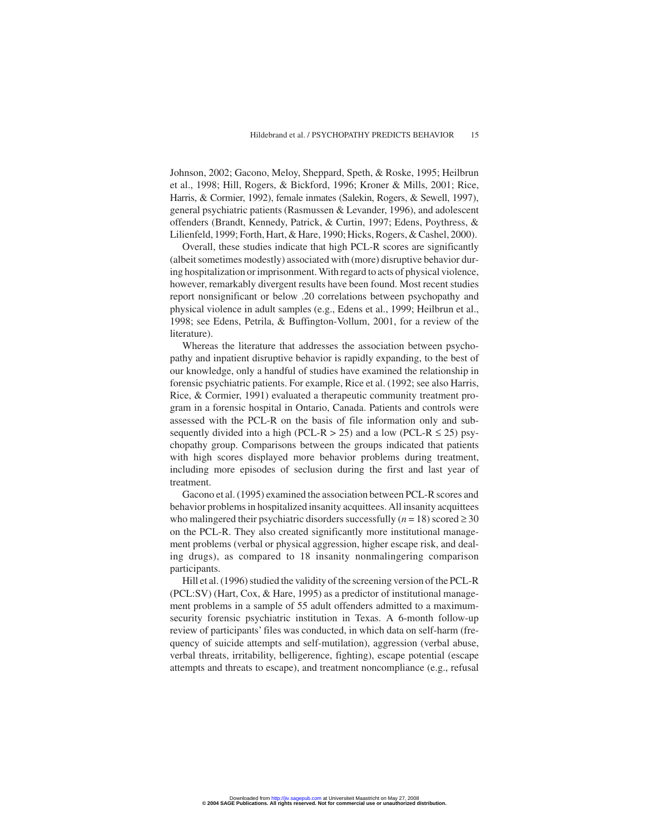Johnson, 2002; Gacono, Meloy, Sheppard, Speth, & Roske, 1995; Heilbrun et al., 1998; Hill, Rogers, & Bickford, 1996; Kroner & Mills, 2001; Rice, Harris, & Cormier, 1992), female inmates (Salekin, Rogers, & Sewell, 1997), general psychiatric patients (Rasmussen & Levander, 1996), and adolescent offenders (Brandt, Kennedy, Patrick, & Curtin, 1997; Edens, Poythress, & Lilienfeld, 1999; Forth, Hart, & Hare, 1990; Hicks, Rogers, & Cashel, 2000).

Overall, these studies indicate that high PCL-R scores are significantly (albeit sometimes modestly) associated with (more) disruptive behavior during hospitalization or imprisonment. With regard to acts of physical violence, however, remarkably divergent results have been found. Most recent studies report nonsignificant or below .20 correlations between psychopathy and physical violence in adult samples (e.g., Edens et al., 1999; Heilbrun et al., 1998; see Edens, Petrila, & Buffington-Vollum, 2001, for a review of the literature).

Whereas the literature that addresses the association between psychopathy and inpatient disruptive behavior is rapidly expanding, to the best of our knowledge, only a handful of studies have examined the relationship in forensic psychiatric patients. For example, Rice et al. (1992; see also Harris, Rice, & Cormier, 1991) evaluated a therapeutic community treatment program in a forensic hospital in Ontario, Canada. Patients and controls were assessed with the PCL-R on the basis of file information only and subsequently divided into a high (PCL-R  $> 25$ ) and a low (PCL-R  $\leq 25$ ) psychopathy group. Comparisons between the groups indicated that patients with high scores displayed more behavior problems during treatment, including more episodes of seclusion during the first and last year of treatment.

Gacono et al. (1995) examined the association between PCL-R scores and behavior problems in hospitalized insanity acquittees. All insanity acquittees who malingered their psychiatric disorders successfully  $(n = 18)$  scored  $\geq 30$ on the PCL-R. They also created significantly more institutional management problems (verbal or physical aggression, higher escape risk, and dealing drugs), as compared to 18 insanity nonmalingering comparison participants.

Hill et al. (1996) studied the validity of the screening version of the PCL-R (PCL:SV) (Hart, Cox, & Hare, 1995) as a predictor of institutional management problems in a sample of 55 adult offenders admitted to a maximumsecurity forensic psychiatric institution in Texas. A 6-month follow-up review of participants' files was conducted, in which data on self-harm (frequency of suicide attempts and self-mutilation), aggression (verbal abuse, verbal threats, irritability, belligerence, fighting), escape potential (escape attempts and threats to escape), and treatment noncompliance (e.g., refusal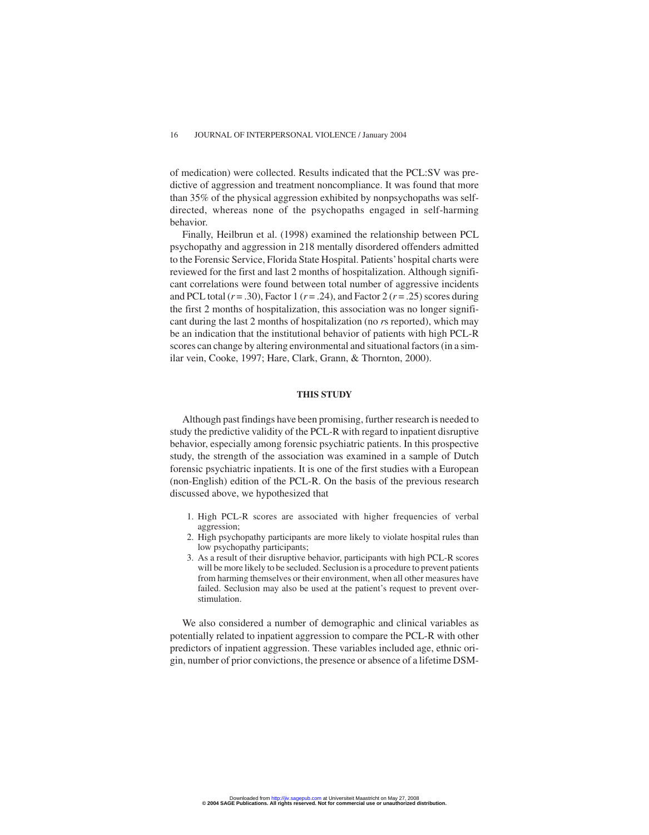of medication) were collected. Results indicated that the PCL:SV was predictive of aggression and treatment noncompliance. It was found that more than 35% of the physical aggression exhibited by nonpsychopaths was selfdirected, whereas none of the psychopaths engaged in self-harming behavior.

Finally, Heilbrun et al. (1998) examined the relationship between PCL psychopathy and aggression in 218 mentally disordered offenders admitted to the Forensic Service, Florida State Hospital. Patients'hospital charts were reviewed for the first and last 2 months of hospitalization. Although significant correlations were found between total number of aggressive incidents and PCL total  $(r = .30)$ , Factor 1  $(r = .24)$ , and Factor 2  $(r = .25)$  scores during the first 2 months of hospitalization, this association was no longer significant during the last 2 months of hospitalization (no *r*s reported), which may be an indication that the institutional behavior of patients with high PCL-R scores can change by altering environmental and situational factors (in a similar vein, Cooke, 1997; Hare, Clark, Grann, & Thornton, 2000).

# **THIS STUDY**

Although past findings have been promising, further research is needed to study the predictive validity of the PCL-R with regard to inpatient disruptive behavior, especially among forensic psychiatric patients. In this prospective study, the strength of the association was examined in a sample of Dutch forensic psychiatric inpatients. It is one of the first studies with a European (non-English) edition of the PCL-R. On the basis of the previous research discussed above, we hypothesized that

- 1. High PCL-R scores are associated with higher frequencies of verbal aggression;
- 2. High psychopathy participants are more likely to violate hospital rules than low psychopathy participants;
- 3. As a result of their disruptive behavior, participants with high PCL-R scores will be more likely to be secluded. Seclusion is a procedure to prevent patients from harming themselves or their environment, when all other measures have failed. Seclusion may also be used at the patient's request to prevent overstimulation.

We also considered a number of demographic and clinical variables as potentially related to inpatient aggression to compare the PCL-R with other predictors of inpatient aggression. These variables included age, ethnic origin, number of prior convictions, the presence or absence of a lifetime DSM-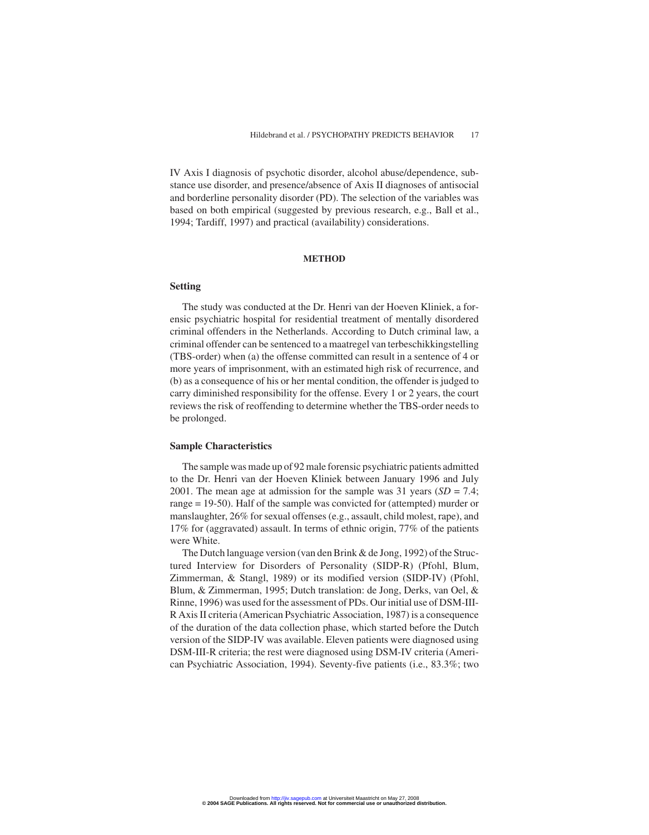IV Axis I diagnosis of psychotic disorder, alcohol abuse/dependence, substance use disorder, and presence/absence of Axis II diagnoses of antisocial and borderline personality disorder (PD). The selection of the variables was based on both empirical (suggested by previous research, e.g., Ball et al., 1994; Tardiff, 1997) and practical (availability) considerations.

#### **METHOD**

# **Setting**

The study was conducted at the Dr. Henri van der Hoeven Kliniek, a forensic psychiatric hospital for residential treatment of mentally disordered criminal offenders in the Netherlands. According to Dutch criminal law, a criminal offender can be sentenced to a maatregel van terbeschikkingstelling (TBS-order) when (a) the offense committed can result in a sentence of 4 or more years of imprisonment, with an estimated high risk of recurrence, and (b) as a consequence of his or her mental condition, the offender is judged to carry diminished responsibility for the offense. Every 1 or 2 years, the court reviews the risk of reoffending to determine whether the TBS-order needs to be prolonged.

#### **Sample Characteristics**

The sample was made up of 92 male forensic psychiatric patients admitted to the Dr. Henri van der Hoeven Kliniek between January 1996 and July 2001. The mean age at admission for the sample was 31 years (*SD* = 7.4; range = 19-50). Half of the sample was convicted for (attempted) murder or manslaughter, 26% for sexual offenses (e.g., assault, child molest, rape), and 17% for (aggravated) assault. In terms of ethnic origin, 77% of the patients were White.

The Dutch language version (van den Brink & de Jong, 1992) of the Structured Interview for Disorders of Personality (SIDP-R) (Pfohl, Blum, Zimmerman, & Stangl, 1989) or its modified version (SIDP-IV) (Pfohl, Blum, & Zimmerman, 1995; Dutch translation: de Jong, Derks, van Oel, & Rinne, 1996) was used for the assessment of PDs. Our initial use of DSM-III-R Axis II criteria (American Psychiatric Association, 1987) is a consequence of the duration of the data collection phase, which started before the Dutch version of the SIDP-IV was available. Eleven patients were diagnosed using DSM-III-R criteria; the rest were diagnosed using DSM-IV criteria (American Psychiatric Association, 1994). Seventy-five patients (i.e., 83.3%; two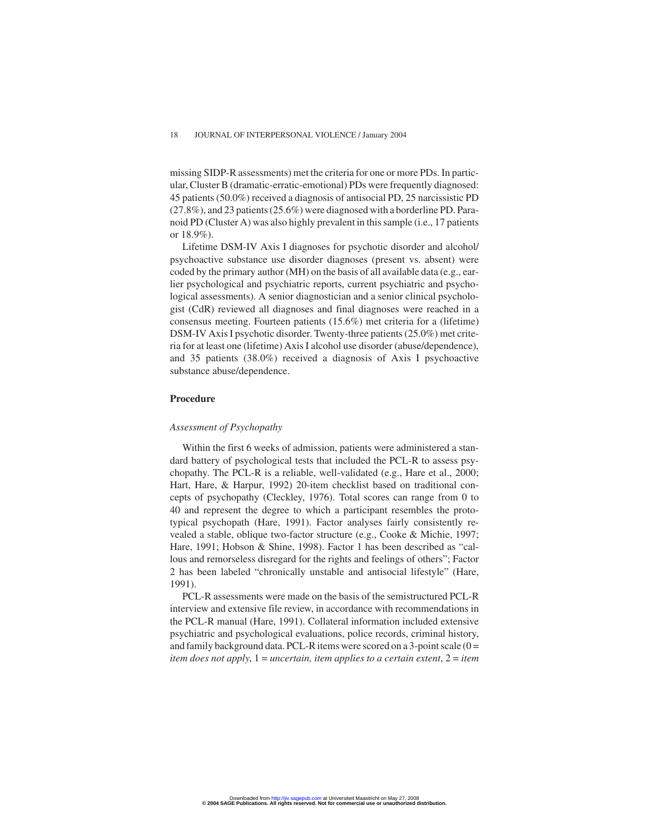missing SIDP-R assessments) met the criteria for one or more PDs. In particular, Cluster B (dramatic-erratic-emotional) PDs were frequently diagnosed: 45 patients (50.0%) received a diagnosis of antisocial PD, 25 narcissistic PD (27.8%), and 23 patients (25.6%) were diagnosed with a borderline PD. Paranoid PD (Cluster A) was also highly prevalent in this sample (i.e., 17 patients or 18.9%).

Lifetime DSM-IV Axis I diagnoses for psychotic disorder and alcohol/ psychoactive substance use disorder diagnoses (present vs. absent) were coded by the primary author (MH) on the basis of all available data (e.g., earlier psychological and psychiatric reports, current psychiatric and psychological assessments). A senior diagnostician and a senior clinical psychologist (CdR) reviewed all diagnoses and final diagnoses were reached in a consensus meeting. Fourteen patients (15.6%) met criteria for a (lifetime) DSM-IV Axis I psychotic disorder. Twenty-three patients (25.0%) met criteria for at least one (lifetime) Axis I alcohol use disorder (abuse/dependence), and 35 patients (38.0%) received a diagnosis of Axis I psychoactive substance abuse/dependence.

# **Procedure**

## *Assessment of Psychopathy*

Within the first 6 weeks of admission, patients were administered a standard battery of psychological tests that included the PCL-R to assess psychopathy. The PCL-R is a reliable, well-validated (e.g., Hare et al., 2000; Hart, Hare, & Harpur, 1992) 20-item checklist based on traditional concepts of psychopathy (Cleckley, 1976). Total scores can range from 0 to 40 and represent the degree to which a participant resembles the prototypical psychopath (Hare, 1991). Factor analyses fairly consistently revealed a stable, oblique two-factor structure (e.g., Cooke & Michie, 1997; Hare, 1991; Hobson & Shine, 1998). Factor 1 has been described as "callous and remorseless disregard for the rights and feelings of others"; Factor 2 has been labeled "chronically unstable and antisocial lifestyle" (Hare, 1991).

PCL-R assessments were made on the basis of the semistructured PCL-R interview and extensive file review, in accordance with recommendations in the PCL-R manual (Hare, 1991). Collateral information included extensive psychiatric and psychological evaluations, police records, criminal history, and family background data. PCL-R items were scored on a 3-point scale  $(0 =$ *item does not apply*,1= *uncertain, item applies to a certain extent*,2= *item*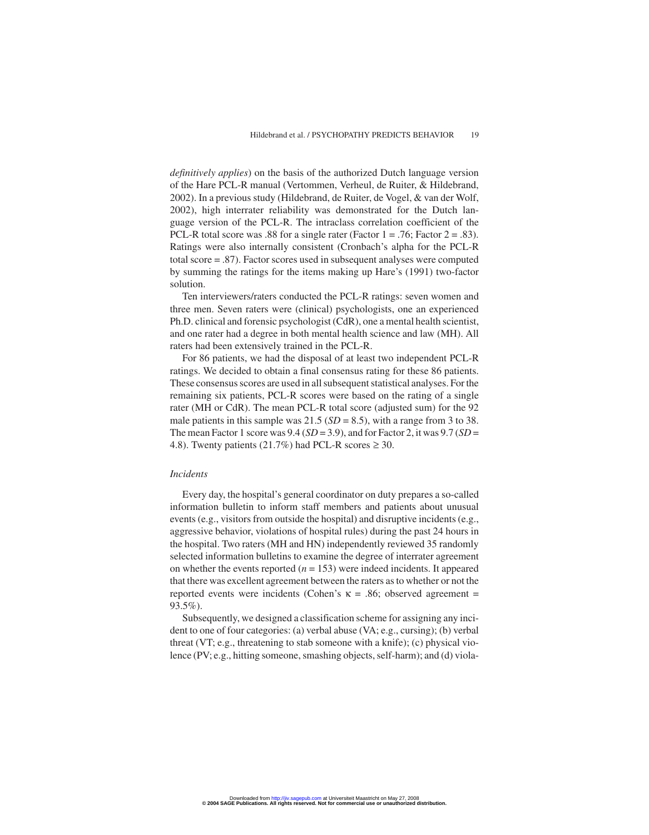*definitively applies*) on the basis of the authorized Dutch language version of the Hare PCL-R manual (Vertommen, Verheul, de Ruiter, & Hildebrand, 2002). In a previous study (Hildebrand, de Ruiter, de Vogel, & van der Wolf, 2002), high interrater reliability was demonstrated for the Dutch language version of the PCL-R. The intraclass correlation coefficient of the PCL-R total score was .88 for a single rater (Factor  $1 = .76$ ; Factor  $2 = .83$ ). Ratings were also internally consistent (Cronbach's alpha for the PCL-R total score = .87). Factor scores used in subsequent analyses were computed by summing the ratings for the items making up Hare's (1991) two-factor solution.

Ten interviewers/raters conducted the PCL-R ratings: seven women and three men. Seven raters were (clinical) psychologists, one an experienced Ph.D. clinical and forensic psychologist (CdR), one a mental health scientist, and one rater had a degree in both mental health science and law (MH). All raters had been extensively trained in the PCL-R.

For 86 patients, we had the disposal of at least two independent PCL-R ratings. We decided to obtain a final consensus rating for these 86 patients. These consensus scores are used in all subsequent statistical analyses. For the remaining six patients, PCL-R scores were based on the rating of a single rater (MH or CdR). The mean PCL-R total score (adjusted sum) for the 92 male patients in this sample was  $21.5$  ( $SD = 8.5$ ), with a range from 3 to 38. The mean Factor 1 score was  $9.4$  (*SD* = 3.9), and for Factor 2, it was  $9.7$  (*SD* = 4.8). Twenty patients (21.7%) had PCL-R scores  $\geq$  30.

# *Incidents*

Every day, the hospital's general coordinator on duty prepares a so-called information bulletin to inform staff members and patients about unusual events (e.g., visitors from outside the hospital) and disruptive incidents (e.g., aggressive behavior, violations of hospital rules) during the past 24 hours in the hospital. Two raters (MH and HN) independently reviewed 35 randomly selected information bulletins to examine the degree of interrater agreement on whether the events reported  $(n = 153)$  were indeed incidents. It appeared that there was excellent agreement between the raters as to whether or not the reported events were incidents (Cohen's κ = .86; observed agreement = 93.5%).

Subsequently, we designed a classification scheme for assigning any incident to one of four categories: (a) verbal abuse (VA; e.g., cursing); (b) verbal threat (VT; e.g., threatening to stab someone with a knife); (c) physical violence (PV; e.g., hitting someone, smashing objects, self-harm); and (d) viola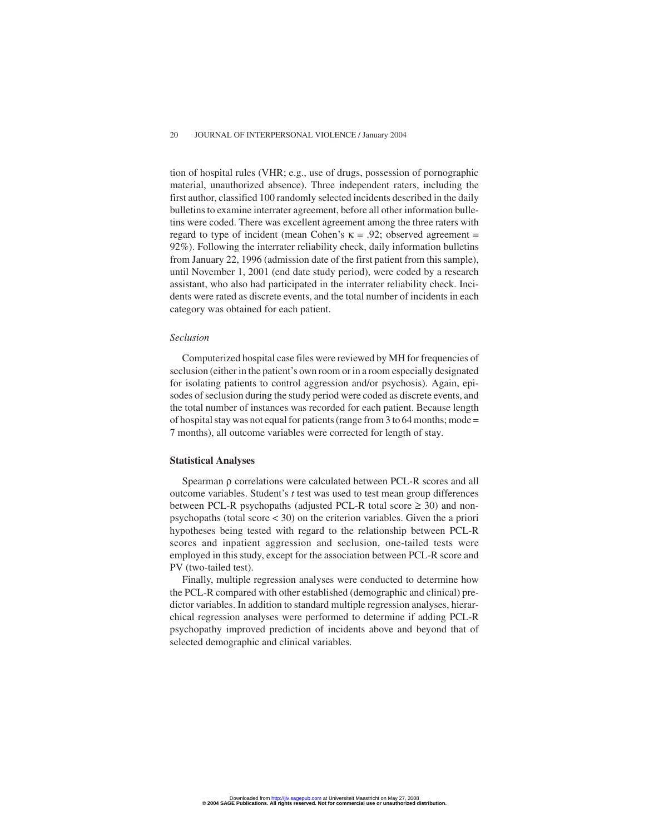tion of hospital rules (VHR; e.g., use of drugs, possession of pornographic material, unauthorized absence). Three independent raters, including the first author, classified 100 randomly selected incidents described in the daily bulletins to examine interrater agreement, before all other information bulletins were coded. There was excellent agreement among the three raters with regard to type of incident (mean Cohen's  $\kappa = .92$ ; observed agreement = 92%). Following the interrater reliability check, daily information bulletins from January 22, 1996 (admission date of the first patient from this sample), until November 1, 2001 (end date study period), were coded by a research assistant, who also had participated in the interrater reliability check. Incidents were rated as discrete events, and the total number of incidents in each category was obtained for each patient.

## *Seclusion*

Computerized hospital case files were reviewed by MH for frequencies of seclusion (either in the patient's own room or in a room especially designated for isolating patients to control aggression and/or psychosis). Again, episodes of seclusion during the study period were coded as discrete events, and the total number of instances was recorded for each patient. Because length of hospital stay was not equal for patients (range from 3 to 64 months; mode  $=$ 7 months), all outcome variables were corrected for length of stay.

#### **Statistical Analyses**

Spearman ρ correlations were calculated between PCL-R scores and all outcome variables. Student's *t* test was used to test mean group differences between PCL-R psychopaths (adjusted PCL-R total score  $\geq$  30) and nonpsychopaths (total score < 30) on the criterion variables. Given the a priori hypotheses being tested with regard to the relationship between PCL-R scores and inpatient aggression and seclusion, one-tailed tests were employed in this study, except for the association between PCL-R score and PV (two-tailed test).

Finally, multiple regression analyses were conducted to determine how the PCL-R compared with other established (demographic and clinical) predictor variables. In addition to standard multiple regression analyses, hierarchical regression analyses were performed to determine if adding PCL-R psychopathy improved prediction of incidents above and beyond that of selected demographic and clinical variables.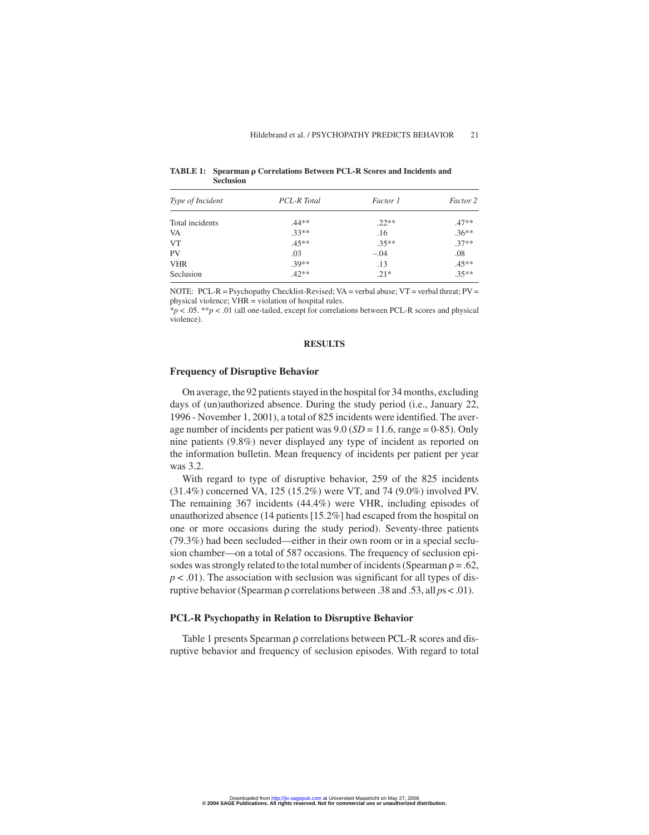| Type of Incident | PCL-R Total | Factor 1 | Factor 2 |
|------------------|-------------|----------|----------|
| Total incidents  | $.44**$     | $.22**$  | $.47**$  |
| VA               | $.33**$     | .16      | $.36***$ |
| <b>VT</b>        | $.45**$     | $.35**$  | $37**$   |
| PV               | .03         | $-.04$   | .08      |
| <b>VHR</b>       | $30**$      | .13      | $.45***$ |
| Seclusion        | $.42**$     | $.21*$   | $.35***$ |

TABLE 1: Spearman  $\rho$  Correlations Between PCL-R Scores and Incidents and **Seclusion**

NOTE: PCL-R = Psychopathy Checklist-Revised; VA = verbal abuse; VT = verbal threat; PV = physical violence; VHR = violation of hospital rules.

\**p* < .05. \*\**p* < .01 (all one-tailed, except for correlations between PCL-R scores and physical violence).

# **RESULTS**

## **Frequency of Disruptive Behavior**

On average, the 92 patients stayed in the hospital for 34 months, excluding days of (un)authorized absence. During the study period (i.e., January 22, 1996 - November 1, 2001), a total of 825 incidents were identified. The average number of incidents per patient was 9.0 (*SD* = 11.6, range = 0-85). Only nine patients (9.8%) never displayed any type of incident as reported on the information bulletin. Mean frequency of incidents per patient per year was 3.2.

With regard to type of disruptive behavior, 259 of the 825 incidents (31.4%) concerned VA, 125 (15.2%) were VT, and 74 (9.0%) involved PV. The remaining 367 incidents (44.4%) were VHR, including episodes of unauthorized absence (14 patients [15.2%] had escaped from the hospital on one or more occasions during the study period). Seventy-three patients (79.3%) had been secluded—either in their own room or in a special seclusion chamber—on a total of 587 occasions. The frequency of seclusion episodes was strongly related to the total number of incidents (Spearman  $\rho = .62$ ,  $p < .01$ ). The association with seclusion was significant for all types of disruptive behavior (Spearman ρ correlations between .38 and .53, all *p*s < .01).

#### **PCL-R Psychopathy in Relation to Disruptive Behavior**

Table 1 presents Spearman ρ correlations between PCL-R scores and disruptive behavior and frequency of seclusion episodes. With regard to total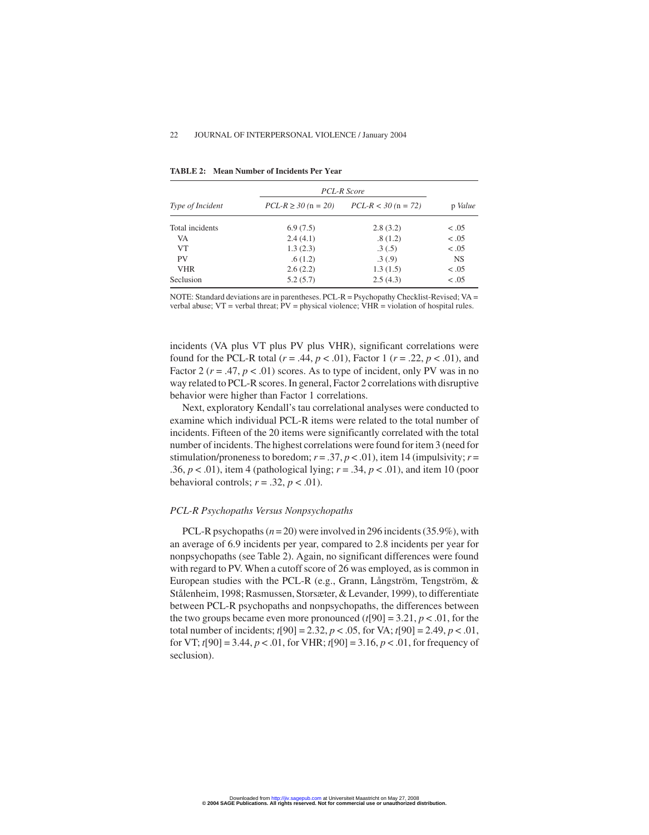|                  | PCL-R Score             |                       |           |
|------------------|-------------------------|-----------------------|-----------|
| Type of Incident | $PCL-R \ge 30$ (n = 20) | $PCL-R < 30$ (n = 72) | p Value   |
| Total incidents  | 6.9(7.5)                | 2.8(3.2)              | $-.05$    |
| VA               | 2.4(4.1)                | .8(1.2)               | < .05     |
| <b>VT</b>        | 1.3(2.3)                | .3(.5)                | < .05     |
| <b>PV</b>        | .6(1.2)                 | .3(0.9)               | <b>NS</b> |
| <b>VHR</b>       | 2.6(2.2)                | 1.3(1.5)              | $-.05$    |
| Seclusion        | 5.2(5.7)                | 2.5(4.3)              | < .05     |

**TABLE 2: Mean Number of Incidents Per Year**

NOTE: Standard deviations are in parentheses. PCL-R = Psychopathy Checklist-Revised; VA = verbal abuse;  $VT = verbal$  threat;  $PV = physical$  violence;  $VHR = violation$  of hospital rules.

incidents (VA plus VT plus PV plus VHR), significant correlations were found for the PCL-R total ( $r = .44$ ,  $p < .01$ ), Factor 1 ( $r = .22$ ,  $p < .01$ ), and Factor 2 ( $r = .47$ ,  $p < .01$ ) scores. As to type of incident, only PV was in no way related to PCL-R scores. In general, Factor 2 correlations with disruptive behavior were higher than Factor 1 correlations.

Next, exploratory Kendall's tau correlational analyses were conducted to examine which individual PCL-R items were related to the total number of incidents. Fifteen of the 20 items were significantly correlated with the total number of incidents. The highest correlations were found for item 3 (need for stimulation/proneness to boredom;  $r = .37$ ,  $p < .01$ ), item 14 (impulsivity;  $r =$ .36,  $p < .01$ ), item 4 (pathological lying;  $r = .34$ ,  $p < .01$ ), and item 10 (poor behavioral controls;  $r = .32$ ,  $p < .01$ ).

# *PCL-R Psychopaths Versus Nonpsychopaths*

PCL-R psychopaths (*n* = 20) were involved in 296 incidents (35.9%), with an average of 6.9 incidents per year, compared to 2.8 incidents per year for nonpsychopaths (see Table 2). Again, no significant differences were found with regard to PV. When a cutoff score of 26 was employed, as is common in European studies with the PCL-R (e.g., Grann, Långström, Tengström, & Stålenheim, 1998; Rasmussen, Storsæter, & Levander, 1999), to differentiate between PCL-R psychopaths and nonpsychopaths, the differences between the two groups became even more pronounced  $(t[90] = 3.21, p < .01$ , for the total number of incidents; *t*[90] = 2.32, *p* < .05, for VA; *t*[90] = 2.49, *p* < .01, for VT; *t*[90] = 3.44, *p* < .01, for VHR; *t*[90] = 3.16, *p* < .01, for frequency of seclusion).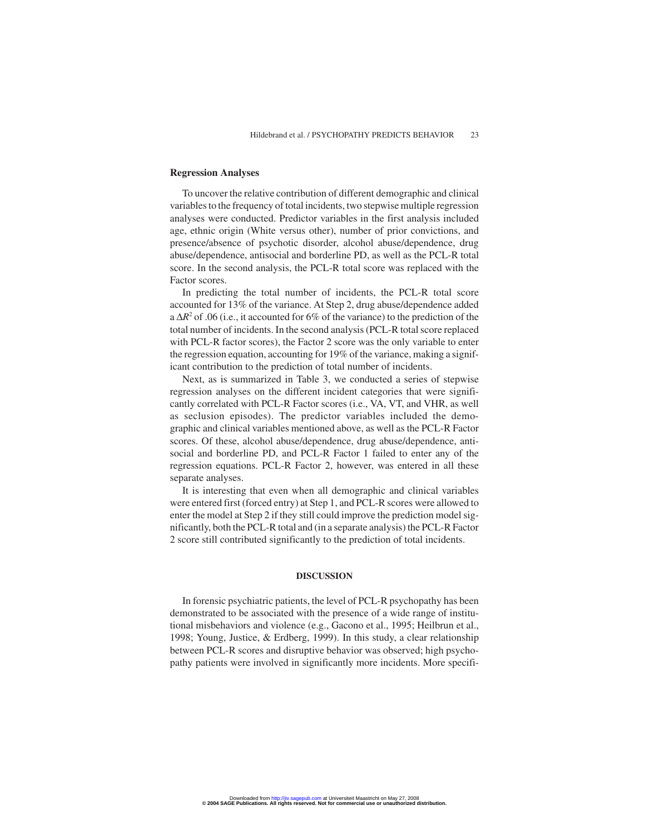# **Regression Analyses**

To uncover the relative contribution of different demographic and clinical variables to the frequency of total incidents, two stepwise multiple regression analyses were conducted. Predictor variables in the first analysis included age, ethnic origin (White versus other), number of prior convictions, and presence/absence of psychotic disorder, alcohol abuse/dependence, drug abuse/dependence, antisocial and borderline PD, as well as the PCL-R total score. In the second analysis, the PCL-R total score was replaced with the Factor scores.

In predicting the total number of incidents, the PCL-R total score accounted for 13% of the variance. At Step 2, drug abuse/dependence added a ∆*R*<sup>2</sup> of .06 (i.e., it accounted for 6% of the variance) to the prediction of the total number of incidents. In the second analysis (PCL-R total score replaced with PCL-R factor scores), the Factor 2 score was the only variable to enter the regression equation, accounting for 19% of the variance, making a significant contribution to the prediction of total number of incidents.

Next, as is summarized in Table 3, we conducted a series of stepwise regression analyses on the different incident categories that were significantly correlated with PCL-R Factor scores (i.e., VA, VT, and VHR, as well as seclusion episodes). The predictor variables included the demographic and clinical variables mentioned above, as well as the PCL-R Factor scores. Of these, alcohol abuse/dependence, drug abuse/dependence, antisocial and borderline PD, and PCL-R Factor 1 failed to enter any of the regression equations. PCL-R Factor 2, however, was entered in all these separate analyses.

It is interesting that even when all demographic and clinical variables were entered first (forced entry) at Step 1, and PCL-R scores were allowed to enter the model at Step 2 if they still could improve the prediction model significantly, both the PCL-R total and (in a separate analysis) the PCL-R Factor 2 score still contributed significantly to the prediction of total incidents.

# **DISCUSSION**

In forensic psychiatric patients, the level of PCL-R psychopathy has been demonstrated to be associated with the presence of a wide range of institutional misbehaviors and violence (e.g., Gacono et al., 1995; Heilbrun et al., 1998; Young, Justice, & Erdberg, 1999). In this study, a clear relationship between PCL-R scores and disruptive behavior was observed; high psychopathy patients were involved in significantly more incidents. More specifi-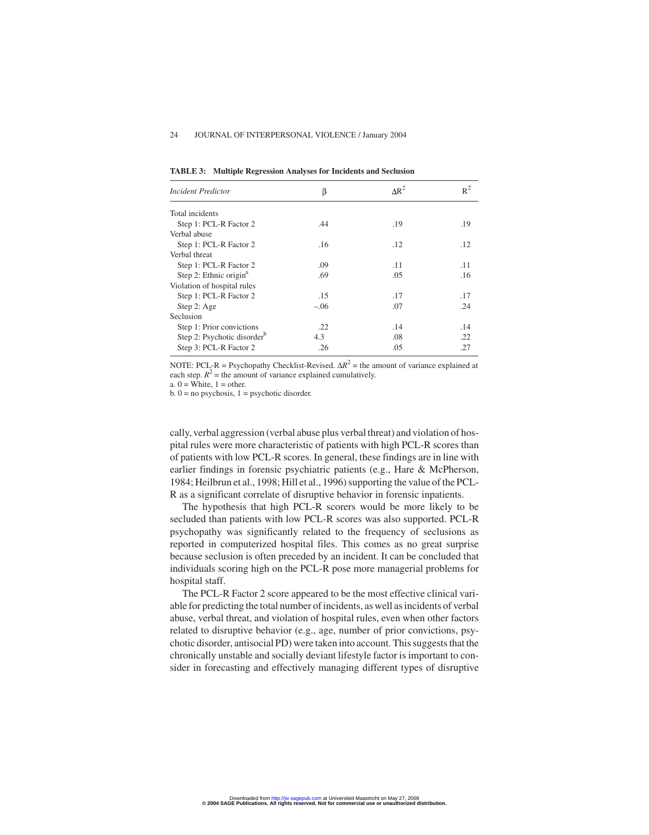| <b>TABLE 3: Multiple Regression Analyses for Incidents and Seclusion</b> |  |  |
|--------------------------------------------------------------------------|--|--|
|                                                                          |  |  |

| <b>Incident Predictor</b>               | β      | $AR^2$ | $R^2$ |
|-----------------------------------------|--------|--------|-------|
| Total incidents                         |        |        |       |
| Step 1: PCL-R Factor 2                  | .44    | .19    | .19   |
| Verbal abuse                            |        |        |       |
| Step 1: PCL-R Factor 2                  | .16    | .12    | .12   |
| Verbal threat                           |        |        |       |
| Step 1: PCL-R Factor 2                  | .09    | .11    | .11   |
| Step 2: Ethnic origin <sup>a</sup>      | .69    | .05    | .16   |
| Violation of hospital rules             |        |        |       |
| Step 1: PCL-R Factor 2                  | .15    | .17    | .17   |
| Step 2: Age                             | $-.06$ | .07    | .24   |
| Seclusion                               |        |        |       |
| Step 1: Prior convictions               | .22    | .14    | .14   |
| Step 2: Psychotic disorder <sup>b</sup> | 4.3    | .08    | .22   |
| Step 3: PCL-R Factor 2                  | .26    | .05    | .27   |

NOTE: PCL-R = Psychopathy Checklist-Revised.  $\Delta R^2$  = the amount of variance explained at each step.  $R^2$  = the amount of variance explained cumulatively.

a.  $0 =$  White,  $1 =$  other.

 $b. 0 = no$  psychosis,  $1 =$  psychotic disorder.

cally, verbal aggression (verbal abuse plus verbal threat) and violation of hospital rules were more characteristic of patients with high PCL-R scores than of patients with low PCL-R scores. In general, these findings are in line with earlier findings in forensic psychiatric patients (e.g., Hare & McPherson, 1984; Heilbrun et al., 1998; Hill et al., 1996) supporting the value of the PCL-R as a significant correlate of disruptive behavior in forensic inpatients.

The hypothesis that high PCL-R scorers would be more likely to be secluded than patients with low PCL-R scores was also supported. PCL-R psychopathy was significantly related to the frequency of seclusions as reported in computerized hospital files. This comes as no great surprise because seclusion is often preceded by an incident. It can be concluded that individuals scoring high on the PCL-R pose more managerial problems for hospital staff.

The PCL-R Factor 2 score appeared to be the most effective clinical variable for predicting the total number of incidents, as well as incidents of verbal abuse, verbal threat, and violation of hospital rules, even when other factors related to disruptive behavior (e.g., age, number of prior convictions, psychotic disorder, antisocial PD) were taken into account. This suggests that the chronically unstable and socially deviant lifestyle factor is important to consider in forecasting and effectively managing different types of disruptive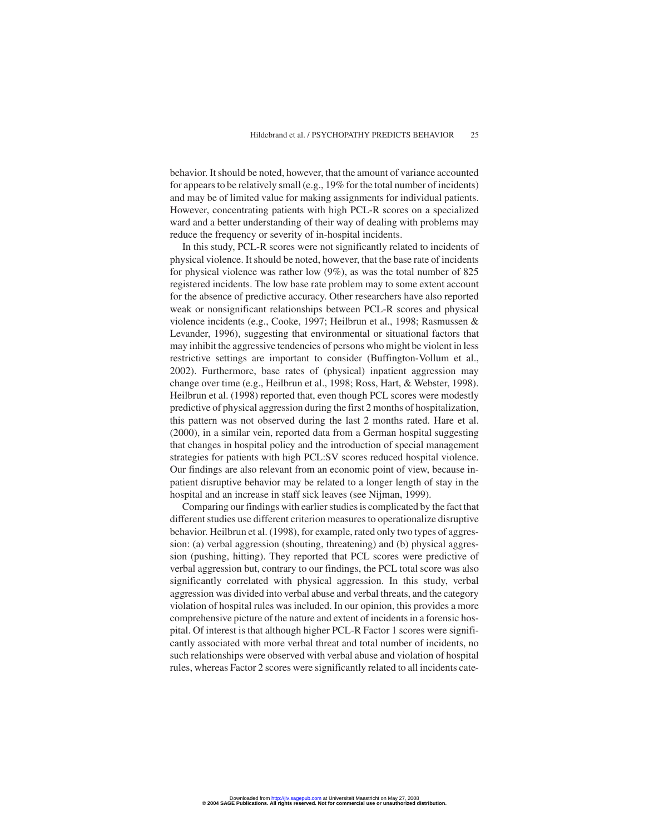behavior. It should be noted, however, that the amount of variance accounted for appears to be relatively small (e.g., 19% for the total number of incidents) and may be of limited value for making assignments for individual patients. However, concentrating patients with high PCL-R scores on a specialized ward and a better understanding of their way of dealing with problems may reduce the frequency or severity of in-hospital incidents.

In this study, PCL-R scores were not significantly related to incidents of physical violence. It should be noted, however, that the base rate of incidents for physical violence was rather low (9%), as was the total number of 825 registered incidents. The low base rate problem may to some extent account for the absence of predictive accuracy. Other researchers have also reported weak or nonsignificant relationships between PCL-R scores and physical violence incidents (e.g., Cooke, 1997; Heilbrun et al., 1998; Rasmussen & Levander, 1996), suggesting that environmental or situational factors that may inhibit the aggressive tendencies of persons who might be violent in less restrictive settings are important to consider (Buffington-Vollum et al., 2002). Furthermore, base rates of (physical) inpatient aggression may change over time (e.g., Heilbrun et al., 1998; Ross, Hart, & Webster, 1998). Heilbrun et al. (1998) reported that, even though PCL scores were modestly predictive of physical aggression during the first 2 months of hospitalization, this pattern was not observed during the last 2 months rated. Hare et al. (2000), in a similar vein, reported data from a German hospital suggesting that changes in hospital policy and the introduction of special management strategies for patients with high PCL:SV scores reduced hospital violence. Our findings are also relevant from an economic point of view, because inpatient disruptive behavior may be related to a longer length of stay in the hospital and an increase in staff sick leaves (see Nijman, 1999).

Comparing our findings with earlier studies is complicated by the fact that different studies use different criterion measures to operationalize disruptive behavior. Heilbrun et al. (1998), for example, rated only two types of aggression: (a) verbal aggression (shouting, threatening) and (b) physical aggression (pushing, hitting). They reported that PCL scores were predictive of verbal aggression but, contrary to our findings, the PCL total score was also significantly correlated with physical aggression. In this study, verbal aggression was divided into verbal abuse and verbal threats, and the category violation of hospital rules was included. In our opinion, this provides a more comprehensive picture of the nature and extent of incidents in a forensic hospital. Of interest is that although higher PCL-R Factor 1 scores were significantly associated with more verbal threat and total number of incidents, no such relationships were observed with verbal abuse and violation of hospital rules, whereas Factor 2 scores were significantly related to all incidents cate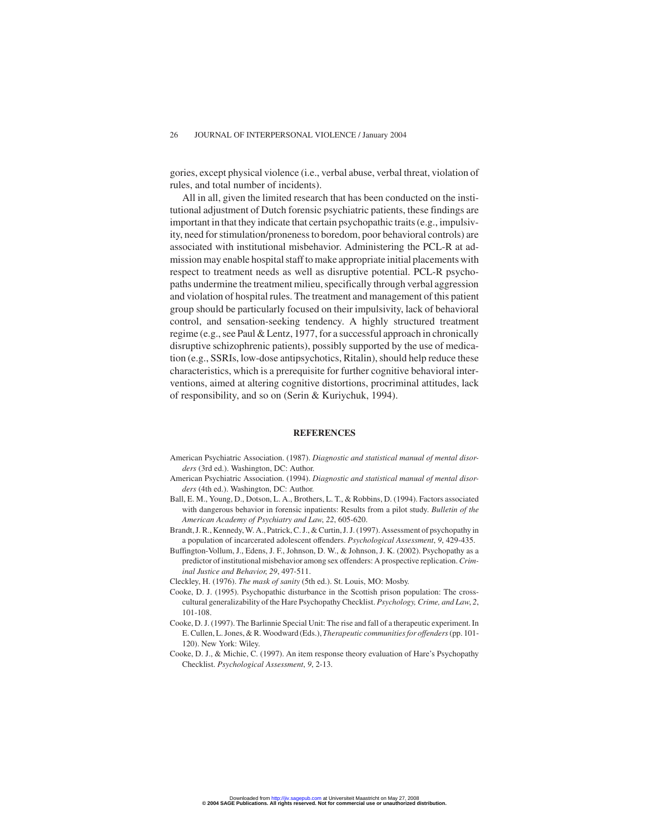gories, except physical violence (i.e., verbal abuse, verbal threat, violation of rules, and total number of incidents).

All in all, given the limited research that has been conducted on the institutional adjustment of Dutch forensic psychiatric patients, these findings are important in that they indicate that certain psychopathic traits (e.g., impulsivity, need for stimulation/proneness to boredom, poor behavioral controls) are associated with institutional misbehavior. Administering the PCL-R at admission may enable hospital staff to make appropriate initial placements with respect to treatment needs as well as disruptive potential. PCL-R psychopaths undermine the treatment milieu, specifically through verbal aggression and violation of hospital rules. The treatment and management of this patient group should be particularly focused on their impulsivity, lack of behavioral control, and sensation-seeking tendency. A highly structured treatment regime (e.g., see Paul & Lentz, 1977, for a successful approach in chronically disruptive schizophrenic patients), possibly supported by the use of medication (e.g., SSRIs, low-dose antipsychotics, Ritalin), should help reduce these characteristics, which is a prerequisite for further cognitive behavioral interventions, aimed at altering cognitive distortions, procriminal attitudes, lack of responsibility, and so on (Serin & Kuriychuk, 1994).

#### **REFERENCES**

- American Psychiatric Association. (1987). *Diagnostic and statistical manual of mental disorders* (3rd ed.). Washington, DC: Author.
- American Psychiatric Association. (1994). *Diagnostic and statistical manual of mental disorders* (4th ed.). Washington, DC: Author.
- Ball, E. M., Young, D., Dotson, L. A., Brothers, L. T., & Robbins, D. (1994). Factors associated with dangerous behavior in forensic inpatients: Results from a pilot study. *Bulletin of the American Academy of Psychiatry and Law*, *22*, 605-620.
- Brandt, J. R., Kennedy, W. A., Patrick, C. J., & Curtin, J. J. (1997). Assessment of psychopathy in a population of incarcerated adolescent offenders. *Psychological Assessment*, *9*, 429-435.
- Buffington-Vollum, J., Edens, J. F., Johnson, D. W., & Johnson, J. K. (2002). Psychopathy as a predictor of institutional misbehavior among sex offenders: A prospective replication.*Criminal Justice and Behavior*, *29*, 497-511.

Cleckley, H. (1976). *The mask of sanity* (5th ed.). St. Louis, MO: Mosby.

- Cooke, D. J. (1995). Psychopathic disturbance in the Scottish prison population: The crosscultural generalizability of the Hare Psychopathy Checklist. *Psychology, Crime, and Law*, *2*, 101-108.
- Cooke, D. J. (1997). The Barlinnie Special Unit: The rise and fall of a therapeutic experiment. In E. Cullen, L. Jones, & R. Woodward (Eds.), *Therapeutic communities for offenders*(pp. 101- 120). New York: Wiley.
- Cooke, D. J., & Michie, C. (1997). An item response theory evaluation of Hare's Psychopathy Checklist. *Psychological Assessment*, *9*, 2-13.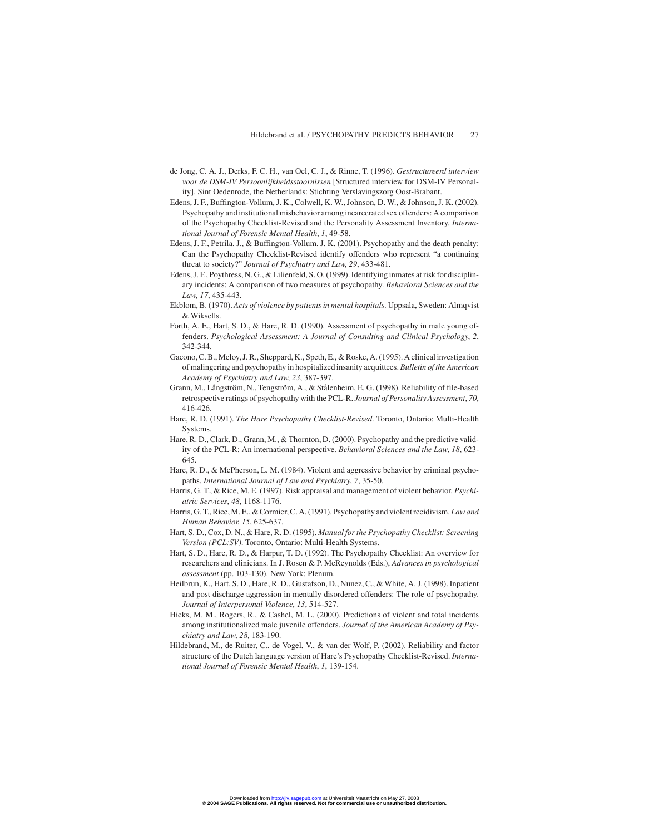- de Jong, C. A. J., Derks, F. C. H., van Oel, C. J., & Rinne, T. (1996). *Gestructureerd interview voor de DSM-IV Persoonlijkheidsstoornissen* [Structured interview for DSM-IV Personality]. Sint Oedenrode, the Netherlands: Stichting Verslavingszorg Oost-Brabant.
- Edens, J. F., Buffington-Vollum, J. K., Colwell, K. W., Johnson, D. W., & Johnson, J. K. (2002). Psychopathy and institutional misbehavior among incarcerated sex offenders: A comparison of the Psychopathy Checklist-Revised and the Personality Assessment Inventory. *International Journal of Forensic Mental Health*, *1*, 49-58.
- Edens, J. F., Petrila, J., & Buffington-Vollum, J. K. (2001). Psychopathy and the death penalty: Can the Psychopathy Checklist-Revised identify offenders who represent "a continuing threat to society?" *Journal of Psychiatry and Law*, *29*, 433-481.
- Edens, J. F., Poythress, N. G., & Lilienfeld, S. O. (1999). Identifying inmates at risk for disciplinary incidents: A comparison of two measures of psychopathy. *Behavioral Sciences and the Law*, *17*, 435-443.
- Ekblom, B. (1970). *Acts of violence by patients in mental hospitals*. Uppsala, Sweden: Almqvist & Wiksells.
- Forth, A. E., Hart, S. D., & Hare, R. D. (1990). Assessment of psychopathy in male young offenders. *Psychological Assessment: A Journal of Consulting and Clinical Psychology*, *2*, 342-344.
- Gacono, C. B., Meloy, J. R., Sheppard, K., Speth, E., & Roske, A. (1995). A clinical investigation of malingering and psychopathy in hospitalized insanity acquittees. *Bulletin of the American Academy of Psychiatry and Law*, *23*, 387-397.
- Grann, M., Långström, N., Tengström, A., & Stålenheim, E. G. (1998). Reliability of file-based retrospective ratings of psychopathy with the PCL-R. *Journal of Personality Assessment*, *70*, 416-426.
- Hare, R. D. (1991). *The Hare Psychopathy Checklist-Revised*. Toronto, Ontario: Multi-Health Systems.
- Hare, R. D., Clark, D., Grann, M., & Thornton, D. (2000). Psychopathy and the predictive validity of the PCL-R: An international perspective. *Behavioral Sciences and the Law*, *18*, 623- 645.
- Hare, R. D., & McPherson, L. M. (1984). Violent and aggressive behavior by criminal psychopaths. *International Journal of Law and Psychiatry*, *7*, 35-50.
- Harris, G. T., & Rice, M. E. (1997). Risk appraisal and management of violent behavior. *Psychiatric Services*, *48*, 1168-1176.
- Harris, G. T., Rice, M. E., & Cormier, C. A. (1991). Psychopathy and violentrecidivism. *Law and Human Behavior*, *15*, 625-637.
- Hart, S. D., Cox, D. N., & Hare, R. D. (1995). *Manual for the Psychopathy Checklist: Screening Version (PCL:SV)*. Toronto, Ontario: Multi-Health Systems.
- Hart, S. D., Hare, R. D., & Harpur, T. D. (1992). The Psychopathy Checklist: An overview for researchers and clinicians. In J. Rosen & P. McReynolds (Eds.), *Advances in psychological assessment* (pp. 103-130). New York: Plenum.
- Heilbrun, K., Hart, S. D., Hare, R. D., Gustafson, D., Nunez, C., & White, A.J. (1998). Inpatient and post discharge aggression in mentally disordered offenders: The role of psychopathy. *Journal of Interpersonal Violence*, *13*, 514-527.
- Hicks, M. M., Rogers, R., & Cashel, M. L. (2000). Predictions of violent and total incidents among institutionalized male juvenile offenders. *Journal of the American Academy of Psychiatry and Law*, *28*, 183-190.
- Hildebrand, M., de Ruiter, C., de Vogel, V., & van der Wolf, P. (2002). Reliability and factor structure of the Dutch language version of Hare's Psychopathy Checklist-Revised. *International Journal of Forensic Mental Health*, *1*, 139-154.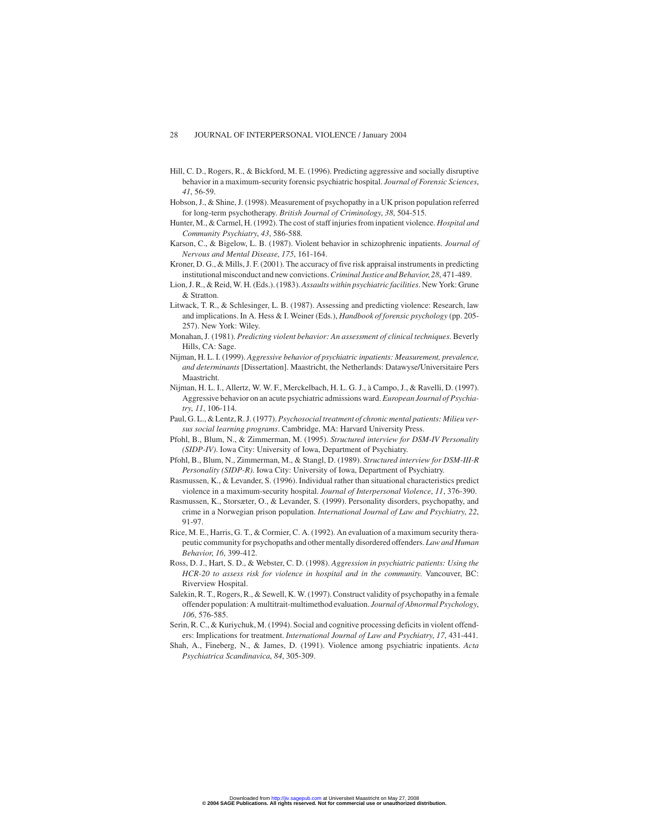- Hill, C. D., Rogers, R., & Bickford, M. E. (1996). Predicting aggressive and socially disruptive behavior in a maximum-security forensic psychiatric hospital. *Journal of Forensic Sciences*, *41*, 56-59.
- Hobson, J., & Shine, J. (1998). Measurement of psychopathy in a UK prison population referred for long-term psychotherapy. *British Journal of Criminology*, *38*, 504-515.
- Hunter, M., & Carmel, H. (1992). The cost of staff injuries from inpatient violence. *Hospital and Community Psychiatry*, *43*, 586-588.
- Karson, C., & Bigelow, L. B. (1987). Violent behavior in schizophrenic inpatients. *Journal of Nervous and Mental Disease*, *175*, 161-164.
- Kroner, D. G., & Mills, J. F. (2001). The accuracy of five risk appraisal instruments in predicting institutional misconduct and new convictions.*Criminal Justice and Behavior*, *28*, 471-489.
- Lion, J. R., & Reid, W. H. (Eds.). (1983).*Assaults within psychiatric facilities*. New York: Grune & Stratton.
- Litwack, T. R., & Schlesinger, L. B. (1987). Assessing and predicting violence: Research, law and implications. In A. Hess & I. Weiner (Eds.), *Handbook of forensic psychology* (pp. 205- 257). New York: Wiley.
- Monahan, J. (1981). *Predicting violent behavior: An assessment of clinical techniques*. Beverly Hills, CA: Sage.
- Nijman, H. L. I. (1999). *Aggressive behavior of psychiatric inpatients: Measurement, prevalence, and determinants* [Dissertation]. Maastricht, the Netherlands: Datawyse/Universitaire Pers Maastricht.
- Nijman, H. L. I., Allertz, W. W. F., Merckelbach, H. L. G. J., à Campo, J., & Ravelli, D. (1997). Aggressive behavior on an acute psychiatric admissions ward. *European Journal of Psychiatry*, *11*, 106-114.
- Paul, G. L., & Lentz, R. J. (1977).*Psychosocial treatment of chronic mental patients: Milieu versus social learning programs*. Cambridge, MA: Harvard University Press.
- Pfohl, B., Blum, N., & Zimmerman, M. (1995). *Structured interview for DSM-IV Personality (SIDP-IV)*. Iowa City: University of Iowa, Department of Psychiatry.
- Pfohl, B., Blum, N., Zimmerman, M., & Stangl, D. (1989). *Structured interview for DSM-III-R Personality (SIDP-R)*. Iowa City: University of Iowa, Department of Psychiatry.
- Rasmussen, K., & Levander, S. (1996). Individual rather than situational characteristics predict violence in a maximum-security hospital. *Journal of Interpersonal Violence*, *11*, 376-390.
- Rasmussen, K., Storsæter, O., & Levander, S. (1999). Personality disorders, psychopathy, and crime in a Norwegian prison population. *International Journal of Law and Psychiatry*, *22*, 91-97.
- Rice, M. E., Harris, G. T., & Cormier, C. A. (1992). An evaluation of a maximum security therapeutic community for psychopaths and other mentally disordered offenders.*Law and Human Behavior*, *16*, 399-412.
- Ross, D. J., Hart, S. D., & Webster, C. D. (1998). *Aggression in psychiatric patients: Using the HCR-20 to assess risk for violence in hospital and in the community*. Vancouver, BC: Riverview Hospital.
- Salekin, R. T., Rogers, R., & Sewell, K. W. (1997). Construct validity of psychopathy in a female offender population: A multitrait-multimethod evaluation. *Journal of Abnormal Psychology*, *106*, 576-585.
- Serin, R. C., & Kuriychuk, M. (1994). Social and cognitive processing deficits in violent offenders: Implications for treatment. *International Journal of Law and Psychiatry*, *17*, 431-441.
- Shah, A., Fineberg, N., & James, D. (1991). Violence among psychiatric inpatients. *Acta Psychiatrica Scandinavica*, *84*, 305-309.